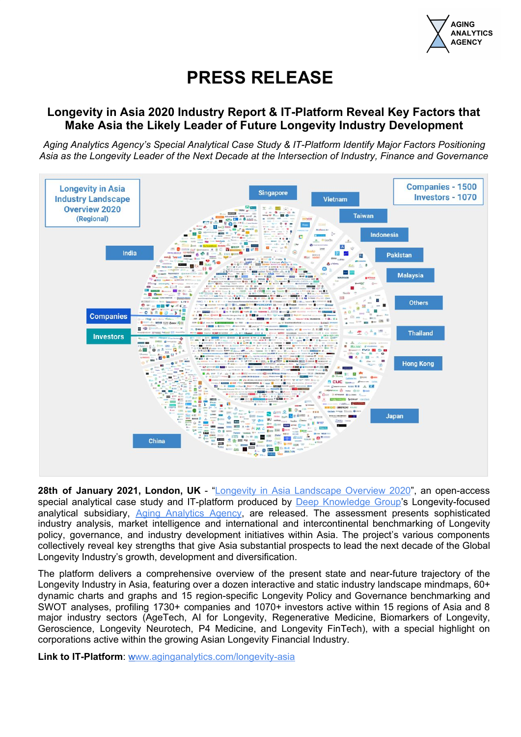

## **PRESS RELEASE**

## **Longevity in Asia 2020 Industry Report & IT-Platform Reveal Key Factors that Make Asia the Likely Leader of Future Longevity Industry Development**

*Aging Analytics Agency's Special Analytical Case Study & IT-Platform Identify Major Factors Positioning Asia as the Longevity Leader of the Next Decade at the Intersection of Industry, Finance and Governance*



**28th of January 2021, London, UK** - "Longevity in Asia [Landscape](https://www.aginganalytics.com/longevity-asia) Overview 2020", an open-access special analytical case study and IT-platform produced by Deep [Knowledge](https://www.dkv.global/) Group's Longevity-focused analytical subsidiary, Aging [Analytics](https://www.aginganalytics.com/) Agency, are released. The assessment presents sophisticated industry analysis, market intelligence and international and intercontinental benchmarking of Longevity policy, governance, and industry development initiatives within Asia. The project's various components collectively reveal key strengths that give Asia substantial prospects to lead the next decade of the Global Longevity Industry's growth, development and diversification.

The platform delivers a comprehensive overview of the present state and near-future trajectory of the Longevity Industry in Asia, featuring over a dozen interactive and static industry landscape mindmaps, 60+ dynamic charts and graphs and 15 region-specific Longevity Policy and Governance benchmarking and SWOT analyses, profiling 1730+ companies and 1070+ investors active within 15 regions of Asia and 8 major industry sectors (AgeTech, AI for Longevity, Regenerative Medicine, Biomarkers of Longevity, Geroscience, Longevity Neurotech, P4 Medicine, and Longevity FinTech), with a special highlight on corporations active within the growing Asian Longevity Financial Industry.

**Link to IT-Platform**: [www.aginganalytics.com/longevity-asia](https://www.aginganalytics.com/longevity-asia)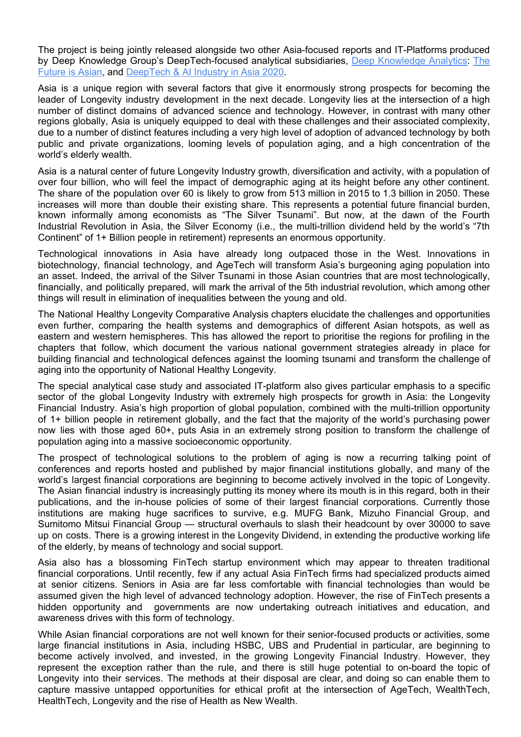The project is being jointly released alongside two other Asia-focused reports and IT-Platforms produced by Deep Knowledge Group's DeepTech-focused analytical subsidiaries, Deep [Knowledge](https://www.dka.global/) Analytics: [The](https://www.dka.global/future-is-asian) [Future](https://www.dka.global/future-is-asian) is Asian, and [DeepTech](https://www.dka.global/deeptech-asia) & AI Industry in Asia 2020.

Asia is a unique region with several factors that give it enormously strong prospects for becoming the leader of Longevity industry development in the next decade. Longevity lies at the intersection of a high number of distinct domains of advanced science and technology. However, in contrast with many other regions globally, Asia is uniquely equipped to deal with these challenges and their associated complexity, due to a number of distinct features including a very high level of adoption of advanced technology by both public and private organizations, looming levels of population aging, and a high concentration of the world's elderly wealth.

Asia is a natural center of future Longevity Industry growth, diversification and activity, with a population of over four billion, who will feel the impact of demographic aging at its height before any other continent. The share of the population over 60 is likely to grow from 513 million in 2015 to 1.3 billion in 2050. These increases will more than double their existing share. This represents a potential future financial burden, known informally among economists as "The Silver Tsunami". But now, at the dawn of the Fourth Industrial Revolution in Asia, the Silver Economy (i.e., the multi-trillion dividend held by the world's "7th Continent" of 1+ Billion people in retirement) represents an enormous opportunity.

Technological innovations in Asia have already long outpaced those in the West. Innovations in biotechnology, financial technology, and AgeTech will transform Asia's burgeoning aging population into an asset. Indeed, the arrival of the Silver Tsunami in those Asian countries that are most technologically, financially, and politically prepared, will mark the arrival of the 5th industrial revolution, which among other things will result in elimination of inequalities between the young and old.

The National Healthy Longevity Comparative Analysis chapters elucidate the challenges and opportunities even further, comparing the health systems and demographics of different Asian hotspots, as well as eastern and western hemispheres. This has allowed the report to prioritise the regions for profiling in the chapters that follow, which document the various national government strategies already in place for building financial and technological defences against the looming tsunami and transform the challenge of aging into the opportunity of National Healthy Longevity.

The special analytical case study and associated IT-platform also gives particular emphasis to a specific sector of the global Longevity Industry with extremely high prospects for growth in Asia: the Longevity Financial Industry. Asia's high proportion of global population, combined with the multi-trillion opportunity of 1+ billion people in retirement globally, and the fact that the majority of the world's purchasing power now lies with those aged 60+, puts Asia in an extremely strong position to transform the challenge of population aging into a massive socioeconomic opportunity.

The prospect of technological solutions to the problem of aging is now a recurring talking point of conferences and reports hosted and published by major financial institutions globally, and many of the world's largest financial corporations are beginning to become actively involved in the topic of Longevity. The Asian financial industry is increasingly putting its money where its mouth is in this regard, both in their publications, and the in-house policies of some of their largest financial corporations. Currently those institutions are making huge sacrifices to survive, e.g. MUFG Bank, Mizuho Financial Group, and Sumitomo Mitsui Financial Group — structural overhauls to slash their headcount by over 30000 to save up on costs. There is a growing interest in the Longevity Dividend, in extending the productive working life of the elderly, by means of technology and social support.

Asia also has a blossoming FinTech startup environment which may appear to threaten traditional financial corporations. Until recently, few if any actual Asia FinTech firms had specialized products aimed at senior citizens. Seniors in Asia are far less comfortable with financial technologies than would be assumed given the high level of advanced technology adoption. However, the rise of FinTech presents a hidden opportunity and governments are now undertaking outreach initiatives and education, and awareness drives with this form of technology.

While Asian financial corporations are not well known for their senior-focused products or activities, some large financial institutions in Asia, including HSBC, UBS and Prudential in particular, are beginning to become actively involved, and invested, in the growing Longevity Financial Industry. However, they represent the exception rather than the rule, and there is still huge potential to on-board the topic of Longevity into their services. The methods at their disposal are clear, and doing so can enable them to capture massive untapped opportunities for ethical profit at the intersection of AgeTech, WealthTech, HealthTech, Longevity and the rise of Health as New Wealth.